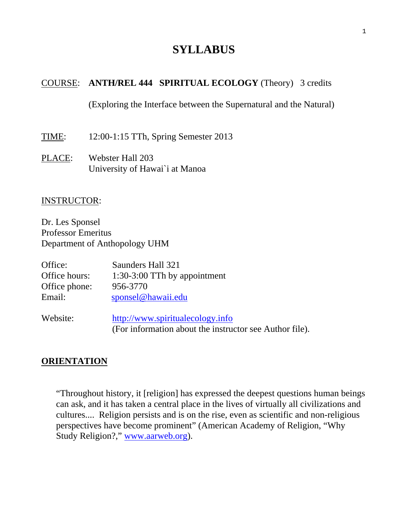# **SYLLABUS**

### COURSE: **ANTH/REL 444 SPIRITUAL ECOLOGY** (Theory) 3 credits

(Exploring the Interface between the Supernatural and the Natural)

TIME: 12:00-1:15 TTh, Spring Semester 2013

PLACE: Webster Hall 203 University of Hawai`i at Manoa

### INSTRUCTOR:

Dr. Les Sponsel Professor Emeritus Department of Anthopology UHM

| Office:       | Saunders Hall 321                |
|---------------|----------------------------------|
| Office hours: | 1:30-3:00 TTh by appointment     |
| Office phone: | 956-3770                         |
| Email:        | sponsel@hawaii.edu               |
|               |                                  |
| Website:      | http://www.spiritualecology.info |

(For information about the instructor see Author file).

## **ORIENTATION**

"Throughout history, it [religion] has expressed the deepest questions human beings can ask, and it has taken a central place in the lives of virtually all civilizations and cultures.... Religion persists and is on the rise, even as scientific and non-religious perspectives have become prominent" (American Academy of Religion, "Why Study Religion?," www.aarweb.org).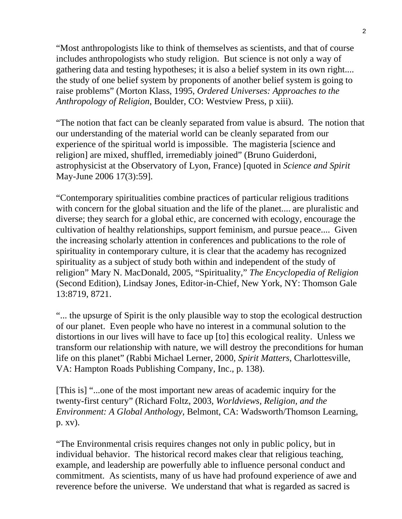"Most anthropologists like to think of themselves as scientists, and that of course includes anthropologists who study religion. But science is not only a way of gathering data and testing hypotheses; it is also a belief system in its own right.... the study of one belief system by proponents of another belief system is going to raise problems" (Morton Klass, 1995, *Ordered Universes: Approaches to the Anthropology of Religion*, Boulder, CO: Westview Press, p xiii).

"The notion that fact can be cleanly separated from value is absurd. The notion that our understanding of the material world can be cleanly separated from our experience of the spiritual world is impossible. The magisteria [science and religion] are mixed, shuffled, irremediably joined" (Bruno Guiderdoni, astrophysicist at the Observatory of Lyon, France) [quoted in *Science and Spirit* May-June 2006 17(3):59].

"Contemporary spiritualities combine practices of particular religious traditions with concern for the global situation and the life of the planet.... are pluralistic and diverse; they search for a global ethic, are concerned with ecology, encourage the cultivation of healthy relationships, support feminism, and pursue peace.... Given the increasing scholarly attention in conferences and publications to the role of spirituality in contemporary culture, it is clear that the academy has recognized spirituality as a subject of study both within and independent of the study of religion" Mary N. MacDonald, 2005, "Spirituality," *The Encyclopedia of Religion* (Second Edition), Lindsay Jones, Editor-in-Chief, New York, NY: Thomson Gale 13:8719, 8721.

"... the upsurge of Spirit is the only plausible way to stop the ecological destruction of our planet. Even people who have no interest in a communal solution to the distortions in our lives will have to face up [to] this ecological reality. Unless we transform our relationship with nature, we will destroy the preconditions for human life on this planet" (Rabbi Michael Lerner, 2000, *Spirit Matters*, Charlottesville, VA: Hampton Roads Publishing Company, Inc., p. 138).

[This is] "...one of the most important new areas of academic inquiry for the twenty-first century" (Richard Foltz, 2003, *Worldviews, Religion, and the Environment: A Global Anthology*, Belmont, CA: Wadsworth/Thomson Learning, p. xv).

"The Environmental crisis requires changes not only in public policy, but in individual behavior. The historical record makes clear that religious teaching, example, and leadership are powerfully able to influence personal conduct and commitment. As scientists, many of us have had profound experience of awe and reverence before the universe. We understand that what is regarded as sacred is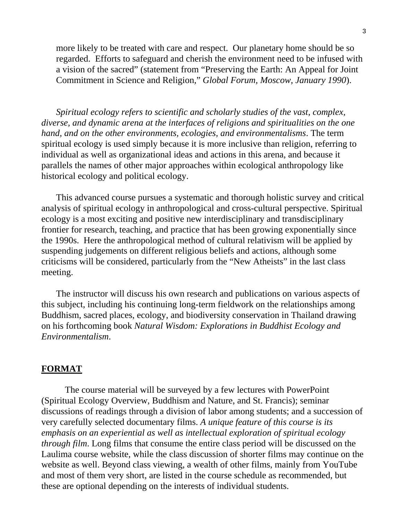more likely to be treated with care and respect. Our planetary home should be so regarded. Efforts to safeguard and cherish the environment need to be infused with a vision of the sacred" (statement from "Preserving the Earth: An Appeal for Joint Commitment in Science and Religion," *Global Forum, Moscow, January 1990*).

*Spiritual ecology refers to scientific and scholarly studies of the vast, complex, diverse, and dynamic arena at the interfaces of religions and spiritualities on the one hand, and on the other environments, ecologies, and environmentalisms*. The term spiritual ecology is used simply because it is more inclusive than religion, referring to individual as well as organizational ideas and actions in this arena, and because it parallels the names of other major approaches within ecological anthropology like historical ecology and political ecology.

This advanced course pursues a systematic and thorough holistic survey and critical analysis of spiritual ecology in anthropological and cross-cultural perspective. Spiritual ecology is a most exciting and positive new interdisciplinary and transdisciplinary frontier for research, teaching, and practice that has been growing exponentially since the 1990s. Here the anthropological method of cultural relativism will be applied by suspending judgements on different religious beliefs and actions, although some criticisms will be considered, particularly from the "New Atheists" in the last class meeting.

The instructor will discuss his own research and publications on various aspects of this subject, including his continuing long-term fieldwork on the relationships among Buddhism, sacred places, ecology, and biodiversity conservation in Thailand drawing on his forthcoming book *Natural Wisdom: Explorations in Buddhist Ecology and Environmentalism*.

### **FORMAT**

The course material will be surveyed by a few lectures with PowerPoint (Spiritual Ecology Overview, Buddhism and Nature, and St. Francis); seminar discussions of readings through a division of labor among students; and a succession of very carefully selected documentary films. *A unique feature of this course is its emphasis on an experiential as well as intellectual exploration of spiritual ecology through film*. Long films that consume the entire class period will be discussed on the Laulima course website, while the class discussion of shorter films may continue on the website as well. Beyond class viewing, a wealth of other films, mainly from YouTube and most of them very short, are listed in the course schedule as recommended, but these are optional depending on the interests of individual students.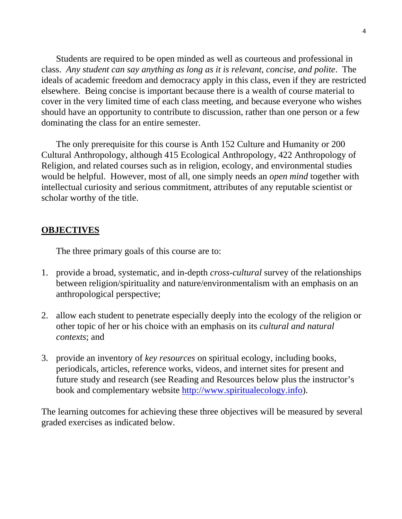Students are required to be open minded as well as courteous and professional in class. *Any student can say anything as long as it is relevant, concise, and polite*. The ideals of academic freedom and democracy apply in this class, even if they are restricted elsewhere. Being concise is important because there is a wealth of course material to cover in the very limited time of each class meeting, and because everyone who wishes should have an opportunity to contribute to discussion, rather than one person or a few dominating the class for an entire semester.

 The only prerequisite for this course is Anth 152 Culture and Humanity or 200 Cultural Anthropology, although 415 Ecological Anthropology, 422 Anthropology of Religion, and related courses such as in religion, ecology, and environmental studies would be helpful. However, most of all, one simply needs an *open mind* together with intellectual curiosity and serious commitment, attributes of any reputable scientist or scholar worthy of the title.

### **OBJECTIVES**

The three primary goals of this course are to:

- 1. provide a broad, systematic, and in-depth *cross-cultural* survey of the relationships between religion/spirituality and nature/environmentalism with an emphasis on an anthropological perspective;
- 2. allow each student to penetrate especially deeply into the ecology of the religion or other topic of her or his choice with an emphasis on its *cultural and natural contexts*; and
- 3. provide an inventory of *key resources* on spiritual ecology, including books, periodicals, articles, reference works, videos, and internet sites for present and future study and research (see Reading and Resources below plus the instructor's book and complementary website http://www.spiritualecology.info).

The learning outcomes for achieving these three objectives will be measured by several graded exercises as indicated below.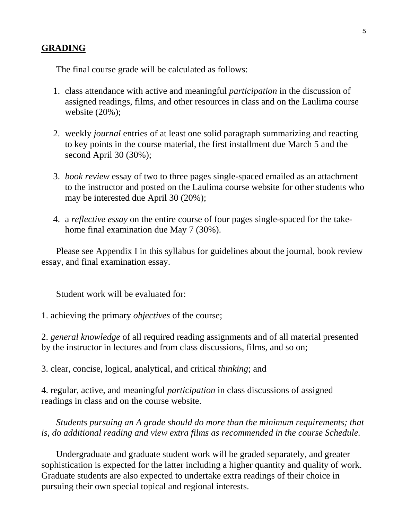The final course grade will be calculated as follows:

- 1. class attendance with active and meaningful *participation* in the discussion of assigned readings, films, and other resources in class and on the Laulima course website (20%);
- 2. weekly *journal* entries of at least one solid paragraph summarizing and reacting to key points in the course material, the first installment due March 5 and the second April 30 (30%);
- 3. *book review* essay of two to three pages single-spaced emailed as an attachment to the instructor and posted on the Laulima course website for other students who may be interested due April 30 (20%);
- 4. a *reflective essay* on the entire course of four pages single-spaced for the takehome final examination due May 7 (30%).

 Please see Appendix I in this syllabus for guidelines about the journal, book review essay, and final examination essay.

Student work will be evaluated for:

1. achieving the primary *objectives* of the course;

2. *general knowledge* of all required reading assignments and of all material presented by the instructor in lectures and from class discussions, films, and so on;

3. clear, concise, logical, analytical, and critical *thinking*; and

4. regular, active, and meaningful *participation* in class discussions of assigned readings in class and on the course website.

*Students pursuing an A grade should do more than the minimum requirements; that is, do additional reading and view extra films as recommended in the course Schedule.* 

 Undergraduate and graduate student work will be graded separately, and greater sophistication is expected for the latter including a higher quantity and quality of work. Graduate students are also expected to undertake extra readings of their choice in pursuing their own special topical and regional interests.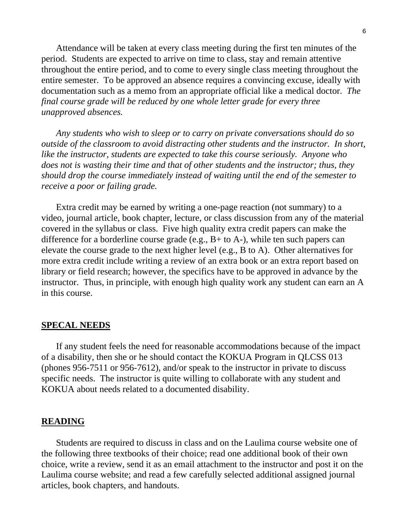Attendance will be taken at every class meeting during the first ten minutes of the period. Students are expected to arrive on time to class, stay and remain attentive throughout the entire period, and to come to every single class meeting throughout the entire semester. To be approved an absence requires a convincing excuse, ideally with documentation such as a memo from an appropriate official like a medical doctor. *The final course grade will be reduced by one whole letter grade for every three unapproved absences.* 

 *Any students who wish to sleep or to carry on private conversations should do so outside of the classroom to avoid distracting other students and the instructor. In short, like the instructor, students are expected to take this course seriously. Anyone who does not is wasting their time and that of other students and the instructor; thus, they should drop the course immediately instead of waiting until the end of the semester to receive a poor or failing grade.* 

 Extra credit may be earned by writing a one-page reaction (not summary) to a video, journal article, book chapter, lecture, or class discussion from any of the material covered in the syllabus or class. Five high quality extra credit papers can make the difference for a borderline course grade (e.g., B+ to A-), while ten such papers can elevate the course grade to the next higher level (e.g., B to A). Other alternatives for more extra credit include writing a review of an extra book or an extra report based on library or field research; however, the specifics have to be approved in advance by the instructor. Thus, in principle, with enough high quality work any student can earn an A in this course.

#### **SPECAL NEEDS**

 If any student feels the need for reasonable accommodations because of the impact of a disability, then she or he should contact the KOKUA Program in QLCSS 013 (phones 956-7511 or 956-7612), and/or speak to the instructor in private to discuss specific needs. The instructor is quite willing to collaborate with any student and KOKUA about needs related to a documented disability.

#### **READING**

 Students are required to discuss in class and on the Laulima course website one of the following three textbooks of their choice; read one additional book of their own choice, write a review, send it as an email attachment to the instructor and post it on the Laulima course website; and read a few carefully selected additional assigned journal articles, book chapters, and handouts.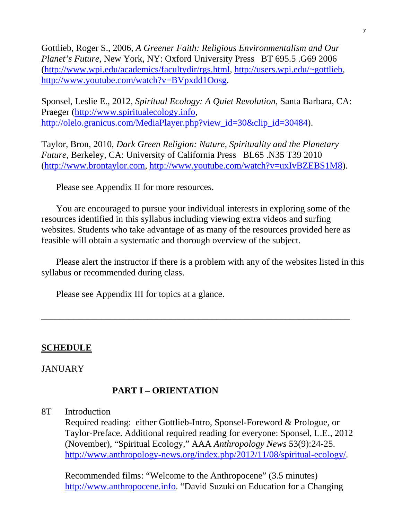Gottlieb, Roger S., 2006, *A Greener Faith: Religious Environmentalism and Our Planet's Future*, New York, NY: Oxford University Press BT 695.5 .G69 2006 (http://www.wpi.edu/academics/facultydir/rgs.html, http://users.wpi.edu/~gottlieb, http://www.youtube.com/watch?v=BVpxdd1Oosg.

Sponsel, Leslie E., 2012, *Spiritual Ecology: A Quiet Revolution*, Santa Barbara, CA: Praeger (http://www.spiritualecology.info, http://olelo.granicus.com/MediaPlayer.php?view\_id=30&clip\_id=30484).

Taylor, Bron, 2010, *Dark Green Religion: Nature, Spirituality and the Planetary Future*, Berkeley, CA: University of California Press BL65 .N35 T39 2010 (http://www.brontaylor.com, http://www.youtube.com/watch?v=uxIvBZEBS1M8).

Please see Appendix II for more resources.

 You are encouraged to pursue your individual interests in exploring some of the resources identified in this syllabus including viewing extra videos and surfing websites. Students who take advantage of as many of the resources provided here as feasible will obtain a systematic and thorough overview of the subject.

 Please alert the instructor if there is a problem with any of the websites listed in this syllabus or recommended during class.

\_\_\_\_\_\_\_\_\_\_\_\_\_\_\_\_\_\_\_\_\_\_\_\_\_\_\_\_\_\_\_\_\_\_\_\_\_\_\_\_\_\_\_\_\_\_\_\_\_\_\_\_\_\_\_\_\_\_\_\_\_\_\_\_\_\_\_

Please see Appendix III for topics at a glance.

## **SCHEDULE**

### **JANUARY**

## **PART I – ORIENTATION**

8T Introduction

Required reading: either Gottlieb-Intro, Sponsel-Foreword & Prologue, or Taylor-Preface. Additional required reading for everyone: Sponsel, L.E., 2012 (November), "Spiritual Ecology," AAA *Anthropology News* 53(9):24-25. http://www.anthropology-news.org/index.php/2012/11/08/spiritual-ecology/.

Recommended films: "Welcome to the Anthropocene" (3.5 minutes) http://www.anthropocene.info. "David Suzuki on Education for a Changing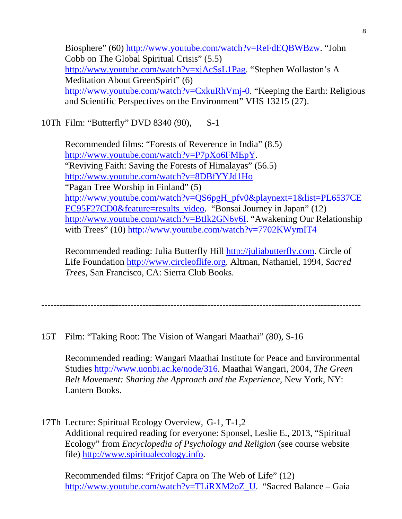Biosphere" (60) http://www.youtube.com/watch?v=ReFdEQBWBzw. "John Cobb on The Global Spiritual Crisis" (5.5) http://www.youtube.com/watch?v=xjAcSsL1Pag. "Stephen Wollaston's A Meditation About GreenSpirit" (6) http://www.youtube.com/watch?v=CxkuRhVmj-0. "Keeping the Earth: Religious and Scientific Perspectives on the Environment" VHS 13215 (27).

10Th Film: "Butterfly" DVD 8340 (90), S-1

Recommended films: "Forests of Reverence in India" (8.5) http://www.youtube.com/watch?v=P7pXo6FMEpY. "Reviving Faith: Saving the Forests of Himalayas" (56.5) http://www.youtube.com/watch?v=8DBfYYJd1Ho "Pagan Tree Worship in Finland" (5) http://www.youtube.com/watch?v=QS6pgH\_pfv0&playnext=1&list=PL6537CE EC95F27CD0&feature=results\_video. "Bonsai Journey in Japan" (12) http://www.youtube.com/watch?v=BtIk2GN6v6I. "Awakening Our Relationship with Trees" (10) http://www.youtube.com/watch?v=7702KWymIT4

Recommended reading: Julia Butterfly Hill http://juliabutterfly.com. Circle of Life Foundation http://www.circleoflife.org. Altman, Nathaniel, 1994, *Sacred Trees*, San Francisco, CA: Sierra Club Books.

--------------------------------------------------------------------------------------------------------

15T Film: "Taking Root: The Vision of Wangari Maathai" (80), S-16

Recommended reading: Wangari Maathai Institute for Peace and Environmental Studies http://www.uonbi.ac.ke/node/316. Maathai Wangari, 2004, *The Green Belt Movement: Sharing the Approach and the Experience*, New York, NY: Lantern Books.

17Th Lecture: Spiritual Ecology Overview, G-1, T-1,2 Additional required reading for everyone: Sponsel, Leslie E., 2013, "Spiritual Ecology" from *Encyclopedia of Psychology and Religion* (see course website file) http://www.spiritualecology.info.

Recommended films: "Fritjof Capra on The Web of Life" (12) http://www.youtube.com/watch?v=TLiRXM2oZ\_U. "Sacred Balance – Gaia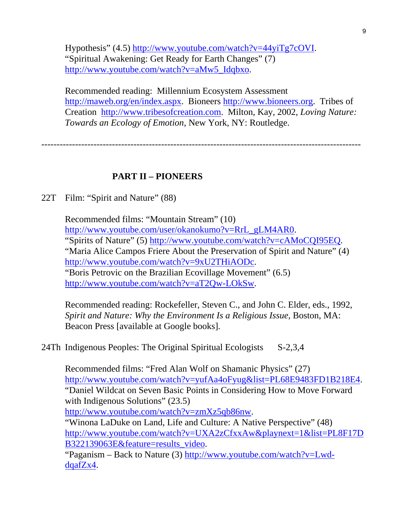Hypothesis" (4.5) http://www.youtube.com/watch?v=44yiTg7cOVI. "Spiritual Awakening: Get Ready for Earth Changes" (7) http://www.youtube.com/watch?v=aMw5\_Idqbxo.

Recommended reading: Millennium Ecosystem Assessment http://maweb.org/en/index.aspx. Bioneers http://www.bioneers.org. Tribes of Creation http://www.tribesofcreation.com. Milton, Kay, 2002, *Loving Nature: Towards an Ecology of Emotion*, New York, NY: Routledge.

--------------------------------------------------------------------------------------------------------

### **PART II – PIONEERS**

22T Film: "Spirit and Nature" (88)

Recommended films: "Mountain Stream" (10) http://www.youtube.com/user/okanokumo?v=RrL\_gLM4AR0. "Spirits of Nature" (5) http://www.youtube.com/watch?v=cAMoCQI95EQ. "Maria Alice Campos Friere About the Preservation of Spirit and Nature" (4) http://www.youtube.com/watch?v=9xU2THiAODc. "Boris Petrovic on the Brazilian Ecovillage Movement" (6.5) http://www.youtube.com/watch?v=aT2Qw-LOkSw.

Recommended reading: Rockefeller, Steven C., and John C. Elder, eds., 1992, *Spirit and Nature: Why the Environment Is a Religious Issue*, Boston, MA: Beacon Press [available at Google books].

24Th Indigenous Peoples: The Original Spiritual Ecologists S-2,3,4

Recommended films: "Fred Alan Wolf on Shamanic Physics" (27) http://www.youtube.com/watch?v=yufAa4oFyug&list=PL68E9483FD1B218E4. "Daniel Wildcat on Seven Basic Points in Considering How to Move Forward with Indigenous Solutions" (23.5) http://www.youtube.com/watch?v=zmXz5qb86nw. "Winona LaDuke on Land, Life and Culture: A Native Perspective" (48) http://www.youtube.com/watch?v=UXA2zCfxxAw&playnext=1&list=PL8F17D B322139063E&feature=results\_video. "Paganism – Back to Nature (3) http://www.youtube.com/watch?v=Lwd-

dqafZx4.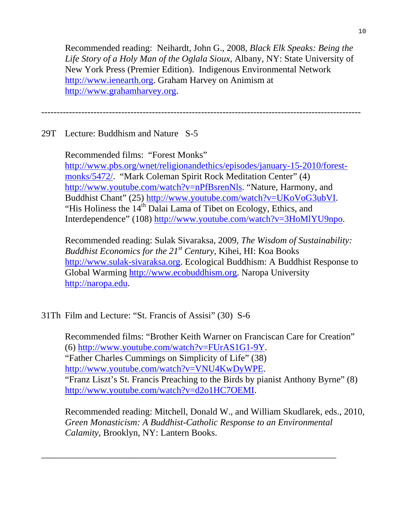Recommended reading: Neihardt, John G., 2008, *Black Elk Speaks: Being the Life Story of a Holy Man of the Oglala Sioux*, Albany, NY: State University of New York Press (Premier Edition). Indigenous Environmental Network http://www.ienearth.org. Graham Harvey on Animism at http://www.grahamharvey.org.

--------------------------------------------------------------------------------------------------------

29T Lecture: Buddhism and Nature S-5

Recommended films: "Forest Monks" http://www.pbs.org/wnet/religionandethics/episodes/january-15-2010/forestmonks/5472/. "Mark Coleman Spirit Rock Meditation Center" (4) http://www.youtube.com/watch?v=nPfBsrenNls. "Nature, Harmony, and Buddhist Chant" (25) http://www.youtube.com/watch?v=UKoVoG3ubVI. "His Holiness the  $14<sup>th</sup>$  Dalai Lama of Tibet on Ecology, Ethics, and Interdependence" (108) http://www.youtube.com/watch?v=3HoMlYU9npo.

Recommended reading: Sulak Sivaraksa, 2009, *The Wisdom of Sustainability: Buddhist Economics for the 21st Century*, Kihei, HI: Koa Books http://www.sulak-sivaraksa.org. Ecological Buddhism: A Buddhist Response to Global Warming http://www.ecobuddhism.org. Naropa University http://naropa.edu.

31Th Film and Lecture: "St. Francis of Assisi" (30) S-6

Recommended films: "Brother Keith Warner on Franciscan Care for Creation" (6) http://www.youtube.com/watch?v=FUrAS1G1-9Y. "Father Charles Cummings on Simplicity of Life" (38) http://www.youtube.com/watch?v=VNU4KwDyWPE. "Franz Liszt's St. Francis Preaching to the Birds by pianist Anthony Byrne" (8) http://www.youtube.com/watch?v=d2o1HC7OEMI.

Recommended reading: Mitchell, Donald W., and William Skudlarek, eds., 2010, *Green Monasticism: A Buddhist-Catholic Response to an Environmental Calamity*, Brooklyn, NY: Lantern Books.

\_\_\_\_\_\_\_\_\_\_\_\_\_\_\_\_\_\_\_\_\_\_\_\_\_\_\_\_\_\_\_\_\_\_\_\_\_\_\_\_\_\_\_\_\_\_\_\_\_\_\_\_\_\_\_\_\_\_\_\_\_\_\_\_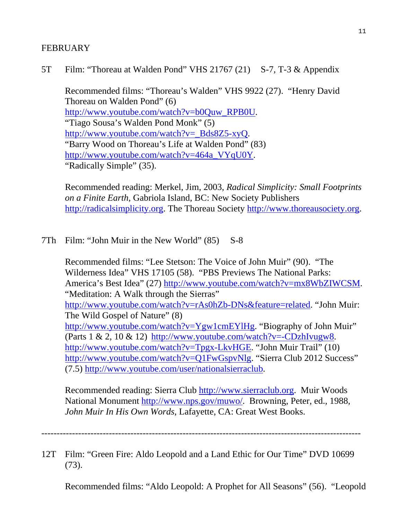## **FEBRUARY**

## 5T Film: "Thoreau at Walden Pond" VHS 21767 (21) S-7, T-3 & Appendix

Recommended films: "Thoreau's Walden" VHS 9922 (27). "Henry David Thoreau on Walden Pond" (6) http://www.youtube.com/watch?v=b0Quw\_RPB0U. "Tiago Sousa's Walden Pond Monk" (5) http://www.youtube.com/watch?v=\_Bds8Z5-xyQ. "Barry Wood on Thoreau's Life at Walden Pond" (83) http://www.youtube.com/watch?v=464a\_VYqU0Y. "Radically Simple" (35).

Recommended reading: Merkel, Jim, 2003, *Radical Simplicity: Small Footprints on a Finite Earth*, Gabriola Island, BC: New Society Publishers http://radicalsimplicity.org. The Thoreau Society http://www.thoreausociety.org.

### 7Th Film: "John Muir in the New World" (85) S-8

Recommended films: "Lee Stetson: The Voice of John Muir" (90). "The Wilderness Idea" VHS 17105 (58). "PBS Previews The National Parks: America's Best Idea" (27) http://www.youtube.com/watch?v=mx8WbZIWCSM. "Meditation: A Walk through the Sierras" http://www.youtube.com/watch?v=rAs0hZb-DNs&feature=related. "John Muir: The Wild Gospel of Nature" (8) http://www.youtube.com/watch?v=Ygw1cmEYlHg. "Biography of John Muir" (Parts  $1 \& 2$ ,  $10 \& 12$ ) http://www.youtube.com/watch?v=-CDzhIvugw8. http://www.youtube.com/watch?v=Tpgx-LkvHGE. "John Muir Trail" (10) http://www.youtube.com/watch?v=Q1FwGspvNlg. "Sierra Club 2012 Success" (7.5) http://www.youtube.com/user/nationalsierraclub.

Recommended reading: Sierra Club http://www.sierraclub.org. Muir Woods National Monument http://www.nps.gov/muwo/. Browning, Peter, ed., 1988, *John Muir In His Own Words*, Lafayette, CA: Great West Books.

--------------------------------------------------------------------------------------------------------

12T Film: "Green Fire: Aldo Leopold and a Land Ethic for Our Time" DVD 10699 (73).

Recommended films: "Aldo Leopold: A Prophet for All Seasons" (56). "Leopold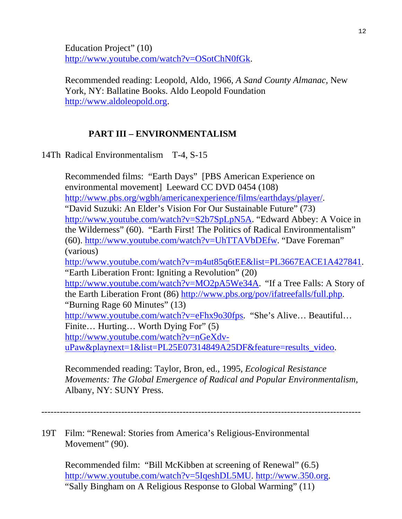Education Project" (10) http://www.youtube.com/watch?v=OSotChN0fGk.

Recommended reading: Leopold, Aldo, 1966, *A Sand County Almanac*, New York, NY: Ballatine Books. Aldo Leopold Foundation http://www.aldoleopold.org.

## **PART III – ENVIRONMENTALISM**

14Th Radical Environmentalism T-4, S-15

Recommended films: "Earth Days" [PBS American Experience on environmental movement] Leeward CC DVD 0454 (108) http://www.pbs.org/wgbh/americanexperience/films/earthdays/player/. "David Suzuki: An Elder's Vision For Our Sustainable Future" (73) http://www.youtube.com/watch?v=S2b7SpLpN5A. "Edward Abbey: A Voice in the Wilderness" (60). "Earth First! The Politics of Radical Environmentalism" (60). http://www.youtube.com/watch?v=UhTTAVbDEfw. "Dave Foreman" (various) http://www.youtube.com/watch?v=m4ut85q6tEE&list=PL3667EACE1A427841. "Earth Liberation Front: Igniting a Revolution" (20) http://www.youtube.com/watch?v=MO2pA5We34A. "If a Tree Falls: A Story of the Earth Liberation Front (86) http://www.pbs.org/pov/ifatreefalls/full.php. "Burning Rage 60 Minutes" (13) http://www.youtube.com/watch?v=eFhx9o30fps. "She's Alive... Beautiful... Finite... Hurting... Worth Dying For" (5) http://www.youtube.com/watch?v=nGeXdvuPaw&playnext=1&list=PL25E07314849A25DF&feature=results\_video.

Recommended reading: Taylor, Bron, ed., 1995, *Ecological Resistance Movements: The Global Emergence of Radical and Popular Environmentalism*, Albany, NY: SUNY Press.

--------------------------------------------------------------------------------------------------------

19T Film: "Renewal: Stories from America's Religious-Environmental Movement" (90).

Recommended film: "Bill McKibben at screening of Renewal" (6.5) http://www.youtube.com/watch?v=5IqeshDL5MU. http://www.350.org. "Sally Bingham on A Religious Response to Global Warming" (11)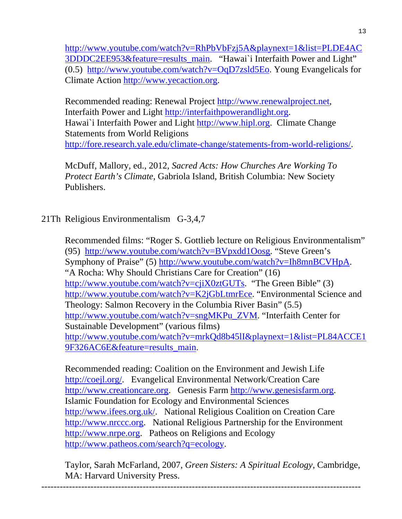http://www.youtube.com/watch?v=RhPbVbFzj5A&playnext=1&list=PLDE4AC 3DDDC2EE953&feature=results\_main. "Hawai`i Interfaith Power and Light" (0.5) http://www.youtube.com/watch?v=OqD7zsld5Eo. Young Evangelicals for Climate Action http://www.yecaction.org.

Recommended reading: Renewal Project http://www.renewalproject.net, Interfaith Power and Light http://interfaithpowerandlight.org. Hawai`i Interfaith Power and Light http://www.hipl.org. Climate Change Statements from World Religions http://fore.research.yale.edu/climate-change/statements-from-world-religions/.

McDuff, Mallory, ed., 2012, *Sacred Acts: How Churches Are Working To Protect Earth's Climate*, Gabriola Island, British Columbia: New Society Publishers.

## 21Th Religious Environmentalism G-3,4,7

Recommended films: "Roger S. Gottlieb lecture on Religious Environmentalism" (95) http://www.youtube.com/watch?v=BVpxdd1Oosg. "Steve Green's Symphony of Praise" (5) http://www.youtube.com/watch?v=Ih8mnBCVHpA. "A Rocha: Why Should Christians Care for Creation" (16) http://www.youtube.com/watch?v=cjiX0ztGUTs. "The Green Bible" (3) http://www.youtube.com/watch?v=K2jGbLtmrEce. "Environmental Science and Theology: Salmon Recovery in the Columbia River Basin" (5.5) http://www.youtube.com/watch?v=sngMKPu\_ZVM. "Interfaith Center for Sustainable Development" (various films) http://www.youtube.com/watch?v=mrkQd8b45lI&playnext=1&list=PL84ACCE1 9F326AC6E&feature=results\_main.

Recommended reading: Coalition on the Environment and Jewish Life http://coejl.org/. Evangelical Environmental Network/Creation Care http://www.creationcare.org. Genesis Farm http://www.genesisfarm.org. Islamic Foundation for Ecology and Environmental Sciences http://www.ifees.org.uk/. National Religious Coalition on Creation Care http://www.nrccc.org. National Religious Partnership for the Environment http://www.nrpe.org. Patheos on Religions and Ecology http://www.patheos.com/search?q=ecology.

Taylor, Sarah McFarland, 2007, *Green Sisters: A Spiritual Ecology*, Cambridge, MA: Harvard University Press.

--------------------------------------------------------------------------------------------------------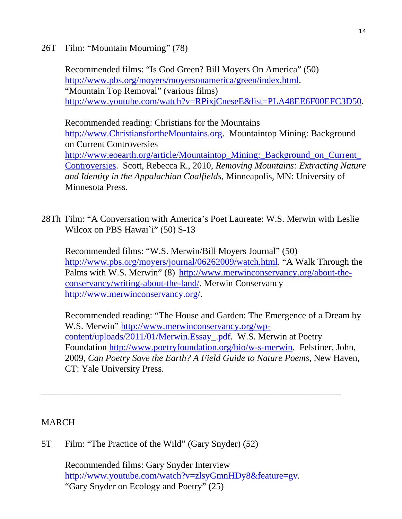26T Film: "Mountain Mourning" (78)

Recommended films: "Is God Green? Bill Moyers On America" (50) http://www.pbs.org/moyers/moyersonamerica/green/index.html. "Mountain Top Removal" (various films) http://www.youtube.com/watch?v=RPixjCneseE&list=PLA48EE6F00EFC3D50.

Recommended reading: Christians for the Mountains http://www.ChristiansfortheMountains.org. Mountaintop Mining: Background on Current Controversies http://www.eoearth.org/article/Mountaintop Mining: Background on Current Controversies. Scott, Rebecca R., 2010, *Removing Mountains: Extracting Nature and Identity in the Appalachian Coalfields*, Minneapolis, MN: University of Minnesota Press.

28Th Film: "A Conversation with America's Poet Laureate: W.S. Merwin with Leslie Wilcox on PBS Hawai`i" (50) S-13

Recommended films: "W.S. Merwin/Bill Moyers Journal" (50) http://www.pbs.org/moyers/journal/06262009/watch.html. "A Walk Through the Palms with W.S. Merwin" (8) http://www.merwinconservancy.org/about-theconservancy/writing-about-the-land/. Merwin Conservancy http://www.merwinconservancy.org/.

Recommended reading: "The House and Garden: The Emergence of a Dream by W.S. Merwin" http://www.merwinconservancy.org/wpcontent/uploads/2011/01/Merwin.Essay\_.pdf. W.S. Merwin at Poetry Foundation http://www.poetryfoundation.org/bio/w-s-merwin. Felstiner, John, 2009, *Can Poetry Save the Earth? A Field Guide to Nature Poems*, New Haven, CT: Yale University Press.

## MARCH

5T Film: "The Practice of the Wild" (Gary Snyder) (52)

Recommended films: Gary Snyder Interview http://www.youtube.com/watch?v=zlsyGmnHDy8&feature=gv. "Gary Snyder on Ecology and Poetry" (25)

\_\_\_\_\_\_\_\_\_\_\_\_\_\_\_\_\_\_\_\_\_\_\_\_\_\_\_\_\_\_\_\_\_\_\_\_\_\_\_\_\_\_\_\_\_\_\_\_\_\_\_\_\_\_\_\_\_\_\_\_\_\_\_\_\_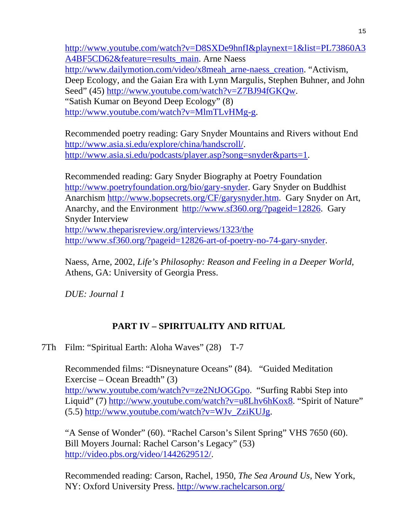http://www.youtube.com/watch?v=D8SXDe9hnfI&playnext=1&list=PL73860A3 A4BF5CD62&feature=results\_main. Arne Naess http://www.dailymotion.com/video/x8meah\_arne-naess\_creation. "Activism, Deep Ecology, and the Gaian Era with Lynn Margulis, Stephen Buhner, and John Seed" (45) http://www.youtube.com/watch?v=Z7BJ94fGKQw. "Satish Kumar on Beyond Deep Ecology" (8) http://www.youtube.com/watch?v=MlmTLvHMg-g.

Recommended poetry reading: Gary Snyder Mountains and Rivers without End http://www.asia.si.edu/explore/china/handscroll/. http://www.asia.si.edu/podcasts/player.asp?song=snyder&parts=1.

Recommended reading: Gary Snyder Biography at Poetry Foundation http://www.poetryfoundation.org/bio/gary-snyder. Gary Snyder on Buddhist Anarchism http://www.bopsecrets.org/CF/garysnyder.htm. Gary Snyder on Art, Anarchy, and the Environment http://www.sf360.org/?pageid=12826. Gary Snyder Interview http://www.theparisreview.org/interviews/1323/the http://www.sf360.org/?pageid=12826-art-of-poetry-no-74-gary-snyder.

Naess, Arne, 2002, *Life's Philosophy: Reason and Feeling in a Deeper World*, Athens, GA: University of Georgia Press.

*DUE: Journal 1* 

## **PART IV – SPIRITUALITY AND RITUAL**

7Th Film: "Spiritual Earth: Aloha Waves" (28) T-7

Recommended films: "Disneynature Oceans" (84). "Guided Meditation Exercise – Ocean Breadth" (3) http://www.youtube.com/watch?v=ze2NtJOGGpo. "Surfing Rabbi Step into Liquid" (7) http://www.youtube.com/watch?v=u8Lhv6hKox8. "Spirit of Nature"  $(5.5)$  http://www.youtube.com/watch?v=WJv\_ZziKUJg.

"A Sense of Wonder" (60). "Rachel Carson's Silent Spring" VHS 7650 (60). Bill Moyers Journal: Rachel Carson's Legacy" (53) http://video.pbs.org/video/1442629512/.

Recommended reading: Carson, Rachel, 1950, *The Sea Around Us*, New York, NY: Oxford University Press. http://www.rachelcarson.org/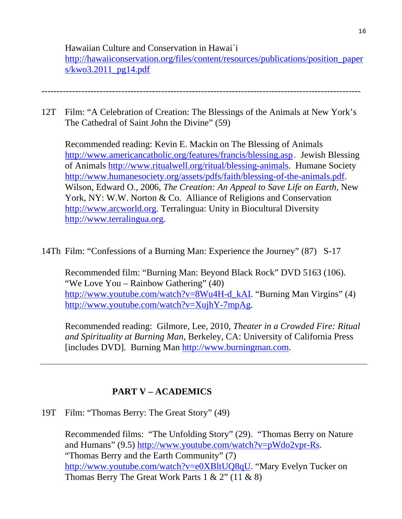Hawaiian Culture and Conservation in Hawai`i http://hawaiiconservation.org/files/content/resources/publications/position\_paper  $s/kwo3.2011$  pg14.pdf

12T Film: "A Celebration of Creation: The Blessings of the Animals at New York's

--------------------------------------------------------------------------------------------------------

The Cathedral of Saint John the Divine" (59)

Recommended reading: Kevin E. Mackin on The Blessing of Animals http://www.americancatholic.org/features/francis/blessing.asp. Jewish Blessing of Animals http://www.ritualwell.org/ritual/blessing-animals. Humane Society http://www.humanesociety.org/assets/pdfs/faith/blessing-of-the-animals.pdf. Wilson, Edward O., 2006, *The Creation: An Appeal to Save Life on Earth*, New York, NY: W.W. Norton & Co. Alliance of Religions and Conservation http://www.arcworld.org. Terralingua: Unity in Biocultural Diversity http://www.terralingua.org.

14Th Film: "Confessions of a Burning Man: Experience the Journey" (87) S-17

Recommended film: "Burning Man: Beyond Black Rock" DVD 5163 (106). "We Love You – Rainbow Gathering" (40) http://www.youtube.com/watch?v=8Wu4H-d\_kAI. "Burning Man Virgins" (4) http://www.youtube.com/watch?v=XujhY-7mpAg.

Recommended reading: Gilmore, Lee, 2010, *Theater in a Crowded Fire: Ritual and Spirituality at Burning Man*, Berkeley, CA: University of California Press [includes DVD]. Burning Man http://www.burningman.com.

# **PART V – ACADEMICS**

19T Film: "Thomas Berry: The Great Story" (49)

Recommended films: "The Unfolding Story" (29). "Thomas Berry on Nature and Humans" (9.5) http://www.youtube.com/watch?v=pWdo2vpr-Rs. "Thomas Berry and the Earth Community" (7) http://www.youtube.com/watch?v=e0XBltUQ8qU. "Mary Evelyn Tucker on Thomas Berry The Great Work Parts  $1 \& 2$ " ( $11 \& 8$ )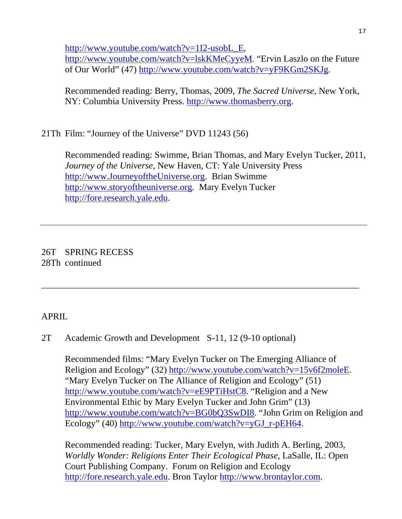http://www.youtube.com/watch?v=1I2-usobL\_E,

http://www.youtube.com/watch?v=lskKMeCyyeM. "Ervin Laszlo on the Future of Our World" (47) http://www.youtube.com/watch?v=yF9KGm2SKJg.

Recommended reading: Berry, Thomas, 2009, *The Sacred Universe*, New York, NY: Columbia University Press. http://www.thomasberry.org.

21Th Film: "Journey of the Universe" DVD 11243 (56)

 Recommended reading: Swimme, Brian Thomas, and Mary Evelyn Tucker, 2011, *Journey of the Universe*, New Haven, CT: Yale University Press http://www.JourneyoftheUniverse.org. Brian Swimme http://www.storyoftheuniverse.org. Mary Evelyn Tucker http://fore.research.yale.edu.

26T SPRING RECESS 28Th continued

# APRIL

# 2T Academic Growth and Development S-11, 12 (9-10 optional)

Recommended films: "Mary Evelyn Tucker on The Emerging Alliance of Religion and Ecology" (32) http://www.youtube.com/watch?v=15v6f2moleE. "Mary Evelyn Tucker on The Alliance of Religion and Ecology" (51) http://www.youtube.com/watch?v=eE9PTiHstC8. "Religion and a New Environmental Ethic by Mary Evelyn Tucker and John Grim" (13) http://www.youtube.com/watch?v=BG0bQ3SwDI8. "John Grim on Religion and Ecology" (40) http://www.youtube.com/watch?v=yGJ\_r-pEH64.

\_\_\_\_\_\_\_\_\_\_\_\_\_\_\_\_\_\_\_\_\_\_\_\_\_\_\_\_\_\_\_\_\_\_\_\_\_\_\_\_\_\_\_\_\_\_\_\_\_\_\_\_\_\_\_\_\_\_\_\_\_\_\_\_\_\_\_\_\_

Recommended reading: Tucker, Mary Evelyn, with Judith A. Berling, 2003, *Worldly Wonder: Religions Enter Their Ecological Phase*, LaSalle, IL: Open Court Publishing Company. Forum on Religion and Ecology http://fore.research.yale.edu. Bron Taylor http://www.brontaylor.com.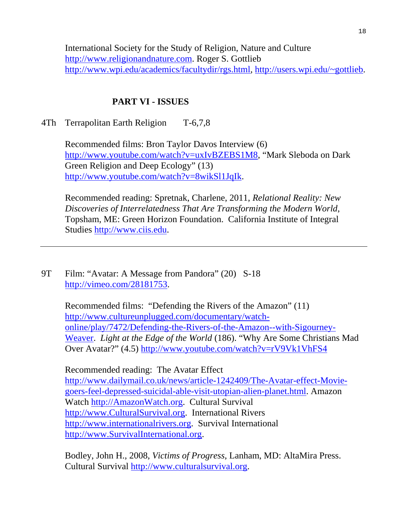International Society for the Study of Religion, Nature and Culture http://www.religionandnature.com. Roger S. Gottlieb http://www.wpi.edu/academics/facultydir/rgs.html, http://users.wpi.edu/~gottlieb.

## **PART VI - ISSUES**

### 4Th Terrapolitan Earth Religion T-6,7,8

Recommended films: Bron Taylor Davos Interview (6) http://www.youtube.com/watch?v=uxIvBZEBS1M8, "Mark Sleboda on Dark Green Religion and Deep Ecology" (13) http://www.youtube.com/watch?v=8wikSl1JqIk.

Recommended reading: Spretnak, Charlene, 2011, *Relational Reality: New Discoveries of Interrelatedness That Are Transforming the Modern World*, Topsham, ME: Green Horizon Foundation. California Institute of Integral Studies http://www.ciis.edu.

9T Film: "Avatar: A Message from Pandora" (20) S-18 http://vimeo.com/28181753.

> Recommended films: "Defending the Rivers of the Amazon" (11) http://www.cultureunplugged.com/documentary/watchonline/play/7472/Defending-the-Rivers-of-the-Amazon--with-Sigourney-Weaver. *Light at the Edge of the World* (186). "Why Are Some Christians Mad Over Avatar?" (4.5) http://www.youtube.com/watch?v=rV9Vk1VhFS4

Recommended reading: The Avatar Effect http://www.dailymail.co.uk/news/article-1242409/The-Avatar-effect-Moviegoers-feel-depressed-suicidal-able-visit-utopian-alien-planet.html. Amazon Watch http://AmazonWatch.org. Cultural Survival http://www.CulturalSurvival.org. International Rivers http://www.internationalrivers.org. Survival International http://www.SurvivalInternational.org.

Bodley, John H., 2008, *Victims of Progress*, Lanham, MD: AltaMira Press. Cultural Survival http://www.culturalsurvival.org.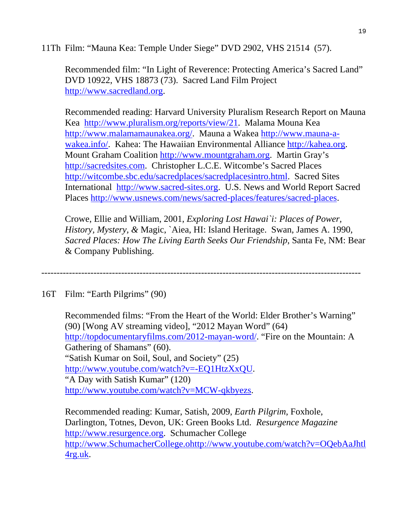11Th Film: "Mauna Kea: Temple Under Siege" DVD 2902, VHS 21514 (57).

Recommended film: "In Light of Reverence: Protecting America's Sacred Land" DVD 10922, VHS 18873 (73). Sacred Land Film Project http://www.sacredland.org.

Recommended reading: Harvard University Pluralism Research Report on Mauna Kea http://www.pluralism.org/reports/view/21. Malama Mouna Kea http://www.malamamaunakea.org/. Mauna a Wakea http://www.mauna-awakea.info/. Kahea: The Hawaiian Environmental Alliance http://kahea.org. Mount Graham Coalition http://www.mountgraham.org. Martin Gray's http://sacredsites.com. Christopher L.C.E. Witcombe's Sacred Places http://witcombe.sbc.edu/sacredplaces/sacredplacesintro.html. Sacred Sites International http://www.sacred-sites.org. U.S. News and World Report Sacred Places http://www.usnews.com/news/sacred-places/features/sacred-places.

Crowe, Ellie and William, 2001, *Exploring Lost Hawai`i: Places of Power, History, Mystery, &* Magic, `Aiea, HI: Island Heritage. Swan, James A. 1990, *Sacred Places: How The Living Earth Seeks Our Friendship*, Santa Fe, NM: Bear & Company Publishing.

--------------------------------------------------------------------------------------------------------

16T Film: "Earth Pilgrims" (90)

Recommended films: "From the Heart of the World: Elder Brother's Warning" (90) [Wong AV streaming video], "2012 Mayan Word" (64) http://topdocumentaryfilms.com/2012-mayan-word/. "Fire on the Mountain: A Gathering of Shamans" (60). "Satish Kumar on Soil, Soul, and Society" (25) http://www.youtube.com/watch?v=-EQ1HtzXxQU. "A Day with Satish Kumar" (120) http://www.youtube.com/watch?v=MCW-qkbyezs.

Recommended reading: Kumar, Satish, 2009, *Earth Pilgrim*, Foxhole, Darlington, Totnes, Devon, UK: Green Books Ltd. *Resurgence Magazine* http://www.resurgence.org. Schumacher College http://www.SchumacherCollege.ohttp://www.youtube.com/watch?v=OQebAaJhtl 4rg.uk.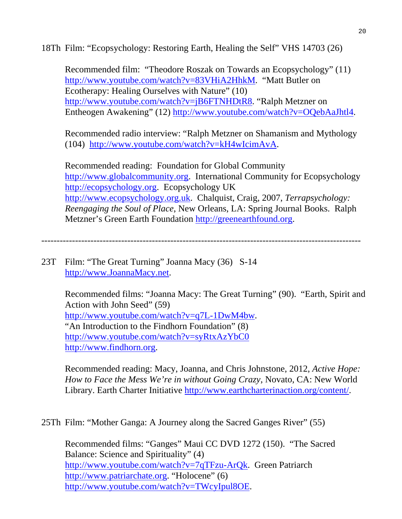18Th Film: "Ecopsychology: Restoring Earth, Healing the Self" VHS 14703 (26)

Recommended film: "Theodore Roszak on Towards an Ecopsychology" (11) http://www.youtube.com/watch?v=83VHiA2HhkM. "Matt Butler on Ecotherapy: Healing Ourselves with Nature" (10) http://www.youtube.com/watch?v=jB6FTNHDtR8. "Ralph Metzner on Entheogen Awakening" (12) http://www.youtube.com/watch?v=OQebAaJhtl4.

Recommended radio interview: "Ralph Metzner on Shamanism and Mythology (104) http://www.youtube.com/watch?v=kH4wIcimAvA.

Recommended reading: Foundation for Global Community http://www.globalcommunity.org. International Community for Ecopsychology http://ecopsychology.org. Ecopsychology UK http://www.ecopsychology.org.uk. Chalquist, Craig, 2007, *Terrapsychology: Reengaging the Soul of Place*, New Orleans, LA: Spring Journal Books. Ralph Metzner's Green Earth Foundation http://greenearthfound.org.

--------------------------------------------------------------------------------------------------------

23T Film: "The Great Turning" Joanna Macy (36) S-14 http://www.JoannaMacy.net.

> Recommended films: "Joanna Macy: The Great Turning" (90). "Earth, Spirit and Action with John Seed" (59) http://www.youtube.com/watch?v=q7L-1DwM4bw. "An Introduction to the Findhorn Foundation" (8) http://www.youtube.com/watch?v=syRtxAzYbC0 http://www.findhorn.org.

Recommended reading: Macy, Joanna, and Chris Johnstone, 2012, *Active Hope: How to Face the Mess We're in without Going Crazy*, Novato, CA: New World Library. Earth Charter Initiative http://www.earthcharterinaction.org/content/.

25Th Film: "Mother Ganga: A Journey along the Sacred Ganges River" (55)

Recommended films: "Ganges" Maui CC DVD 1272 (150). "The Sacred Balance: Science and Spirituality" (4) http://www.youtube.com/watch?v=7qTFzu-ArQk. Green Patriarch http://www.patriarchate.org. "Holocene" (6) http://www.youtube.com/watch?v=TWcyIpul8OE.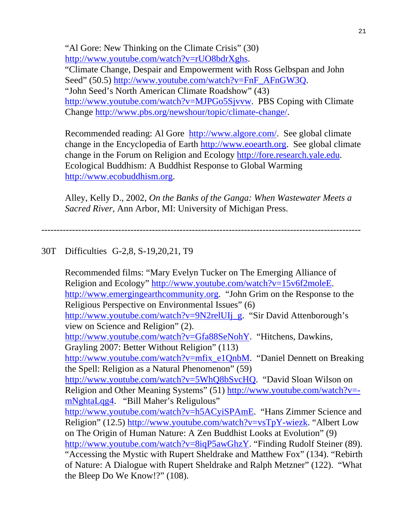"Al Gore: New Thinking on the Climate Crisis" (30) http://www.youtube.com/watch?v=rUO8bdrXghs. "Climate Change, Despair and Empowerment with Ross Gelbspan and John Seed" (50.5) http://www.youtube.com/watch?v=FnF\_AFnGW3Q. "John Seed's North American Climate Roadshow" (43) http://www.youtube.com/watch?v=MJPGo5Sjvvw. PBS Coping with Climate Change http://www.pbs.org/newshour/topic/climate-change/.

Recommended reading: Al Gore http://www.algore.com/. See global climate change in the Encyclopedia of Earth http://www.eoearth.org. See global climate change in the Forum on Religion and Ecology http://fore.research.yale.edu. Ecological Buddhism: A Buddhist Response to Global Warming http://www.ecobuddhism.org.

Alley, Kelly D., 2002, *On the Banks of the Ganga: When Wastewater Meets a Sacred River*, Ann Arbor, MI: University of Michigan Press.

--------------------------------------------------------------------------------------------------------

## 30T Difficulties G-2,8, S-19,20,21, T9

Recommended films: "Mary Evelyn Tucker on The Emerging Alliance of Religion and Ecology" http://www.youtube.com/watch?v=15v6f2moleE. http://www.emergingearthcommunity.org. "John Grim on the Response to the Religious Perspective on Environmental Issues" (6) http://www.youtube.com/watch?v=9N2relUIj\_g. "Sir David Attenborough's view on Science and Religion" (2). http://www.youtube.com/watch?v=Gfa88SeNohY. "Hitchens, Dawkins, Grayling 2007: Better Without Religion" (113) http://www.youtube.com/watch?v=mfix\_e1QnbM. "Daniel Dennett on Breaking the Spell: Religion as a Natural Phenomenon" (59) http://www.youtube.com/watch?v=5WhQ8bSvcHQ. "David Sloan Wilson on Religion and Other Meaning Systems" (51) http://www.youtube.com/watch?v= mNghtaLqg4. "Bill Maher's Religulous" http://www.youtube.com/watch?v=h5ACyiSPAmE. "Hans Zimmer Science and Religion" (12.5) http://www.youtube.com/watch?v=vsTpY-wiezk. "Albert Low on The Origin of Human Nature: A Zen Buddhist Looks at Evolution" (9) http://www.youtube.com/watch?v=8iqP5awGhzY. "Finding Rudolf Steiner (89). "Accessing the Mystic with Rupert Sheldrake and Matthew Fox" (134). "Rebirth of Nature: A Dialogue with Rupert Sheldrake and Ralph Metzner" (122). "What the Bleep Do We Know!?" (108).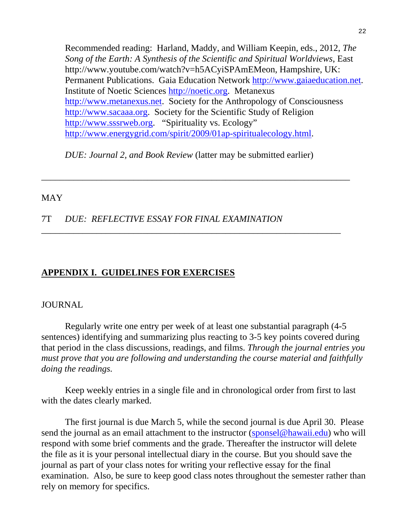Recommended reading: Harland, Maddy, and William Keepin, eds., 2012, *The Song of the Earth: A Synthesis of the Scientific and Spiritual Worldviews*, East http://www.youtube.com/watch?v=h5ACyiSPAmEMeon, Hampshire, UK: Permanent Publications. Gaia Education Network http://www.gaiaeducation.net. Institute of Noetic Sciences http://noetic.org. Metanexus http://www.metanexus.net. Society for the Anthropology of Consciousness http://www.sacaaa.org. Society for the Scientific Study of Religion http://www.sssrweb.org. "Spirituality vs. Ecology" http://www.energygrid.com/spirit/2009/01ap-spiritualecology.html.

*DUE: Journal 2, and Book Review* (latter may be submitted earlier)

\_\_\_\_\_\_\_\_\_\_\_\_\_\_\_\_\_\_\_\_\_\_\_\_\_\_\_\_\_\_\_\_\_\_\_\_\_\_\_\_\_\_\_\_\_\_\_\_\_\_\_\_\_\_\_\_\_\_\_\_\_\_\_\_\_\_\_

\_\_\_\_\_\_\_\_\_\_\_\_\_\_\_\_\_\_\_\_\_\_\_\_\_\_\_\_\_\_\_\_\_\_\_\_\_\_\_\_\_\_\_\_\_\_\_\_\_\_\_\_\_\_\_\_\_\_\_\_\_\_\_\_\_

### MAY

## 7T *DUE: REFLECTIVE ESSAY FOR FINAL EXAMINATION*

## **APPENDIX I. GUIDELINES FOR EXERCISES**

#### JOURNAL

 Regularly write one entry per week of at least one substantial paragraph (4-5 sentences) identifying and summarizing plus reacting to 3-5 key points covered during that period in the class discussions, readings, and films. *Through the journal entries you must prove that you are following and understanding the course material and faithfully doing the readings.* 

Keep weekly entries in a single file and in chronological order from first to last with the dates clearly marked.

The first journal is due March 5, while the second journal is due April 30. Please send the journal as an email attachment to the instructor (sponsel@hawaii.edu) who will respond with some brief comments and the grade. Thereafter the instructor will delete the file as it is your personal intellectual diary in the course. But you should save the journal as part of your class notes for writing your reflective essay for the final examination. Also, be sure to keep good class notes throughout the semester rather than rely on memory for specifics.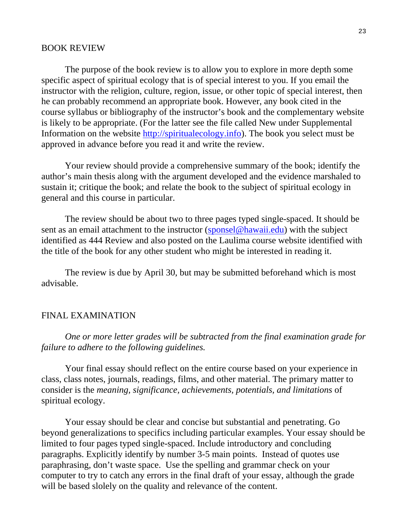#### BOOK REVIEW

 The purpose of the book review is to allow you to explore in more depth some specific aspect of spiritual ecology that is of special interest to you. If you email the instructor with the religion, culture, region, issue, or other topic of special interest, then he can probably recommend an appropriate book. However, any book cited in the course syllabus or bibliography of the instructor's book and the complementary website is likely to be appropriate. (For the latter see the file called New under Supplemental Information on the website http://spiritualecology.info). The book you select must be approved in advance before you read it and write the review.

 Your review should provide a comprehensive summary of the book; identify the author's main thesis along with the argument developed and the evidence marshaled to sustain it; critique the book; and relate the book to the subject of spiritual ecology in general and this course in particular.

 The review should be about two to three pages typed single-spaced. It should be sent as an email attachment to the instructor (sponsel@hawaii.edu) with the subject identified as 444 Review and also posted on the Laulima course website identified with the title of the book for any other student who might be interested in reading it.

 The review is due by April 30, but may be submitted beforehand which is most advisable.

#### FINAL EXAMINATION

*One or more letter grades will be subtracted from the final examination grade for failure to adhere to the following guidelines.* 

Your final essay should reflect on the entire course based on your experience in class, class notes, journals, readings, films, and other material. The primary matter to consider is the *meaning, significance, achievements, potentials, and limitations* of spiritual ecology.

Your essay should be clear and concise but substantial and penetrating. Go beyond generalizations to specifics including particular examples. Your essay should be limited to four pages typed single-spaced. Include introductory and concluding paragraphs. Explicitly identify by number 3-5 main points. Instead of quotes use paraphrasing, don't waste space. Use the spelling and grammar check on your computer to try to catch any errors in the final draft of your essay, although the grade will be based slolely on the quality and relevance of the content.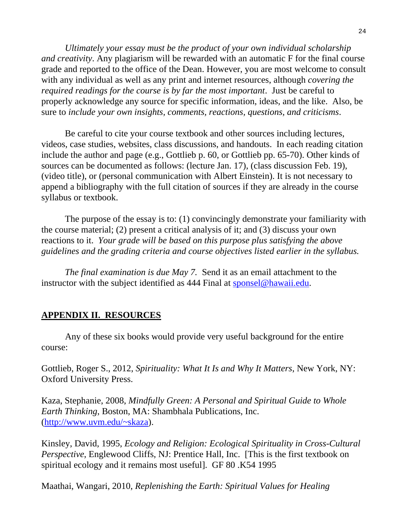*Ultimately your essay must be the product of your own individual scholarship and creativity*. Any plagiarism will be rewarded with an automatic F for the final course grade and reported to the office of the Dean. However, you are most welcome to consult with any individual as well as any print and internet resources, although *covering the required readings for the course is by far the most important*. Just be careful to properly acknowledge any source for specific information, ideas, and the like. Also, be sure to *include your own insights, comments, reactions, questions, and criticisms*.

 Be careful to cite your course textbook and other sources including lectures, videos, case studies, websites, class discussions, and handouts. In each reading citation include the author and page (e.g., Gottlieb p. 60, or Gottlieb pp. 65-70). Other kinds of sources can be documented as follows: (lecture Jan. 17), (class discussion Feb. 19), (video title), or (personal communication with Albert Einstein). It is not necessary to append a bibliography with the full citation of sources if they are already in the course syllabus or textbook.

 The purpose of the essay is to: (1) convincingly demonstrate your familiarity with the course material; (2) present a critical analysis of it; and (3) discuss your own reactions to it. *Your grade will be based on this purpose plus satisfying the above guidelines and the grading criteria and course objectives listed earlier in the syllabus.* 

 *The final examination is due May 7.* Send it as an email attachment to the instructor with the subject identified as 444 Final at sponsel@hawaii.edu.

# **APPENDIX II. RESOURCES**

 Any of these six books would provide very useful background for the entire course:

Gottlieb, Roger S., 2012, *Spirituality: What It Is and Why It Matters*, New York, NY: Oxford University Press.

Kaza, Stephanie, 2008, *Mindfully Green: A Personal and Spiritual Guide to Whole Earth Thinking*, Boston, MA: Shambhala Publications, Inc. (http://www.uvm.edu/~skaza).

Kinsley, David, 1995, *Ecology and Religion: Ecological Spirituality in Cross-Cultural Perspective*, Englewood Cliffs, NJ: Prentice Hall, Inc. [This is the first textbook on spiritual ecology and it remains most useful]. GF 80 .K54 1995

Maathai, Wangari, 2010, *Replenishing the Earth: Spiritual Values for Healing*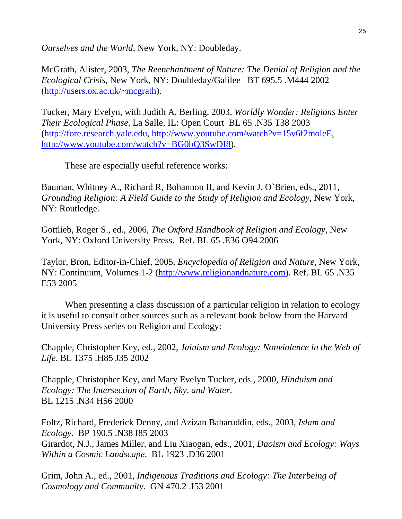*Ourselves and the World,* New York, NY: Doubleday.

McGrath, Alister, 2003, *The Reenchantment of Nature: The Denial of Religion and the Ecological Crisis*, New York, NY: Doubleday/Galilee BT 695.5 .M444 2002 (http://users.ox.ac.uk/~mcgrath).

Tucker, Mary Evelyn, with Judith A. Berling, 2003, *Worldly Wonder: Religions Enter Their Ecological Phase*, La Salle, IL: Open Court BL 65 .N35 T38 2003 (http://fore.research.yale.edu, http://www.youtube.com/watch?v=15v6f2moleE, http://www.youtube.com/watch?v=BG0bQ3SwDI8).

These are especially useful reference works:

Bauman, Whitney A., Richard R, Bohannon II, and Kevin J. O`Brien, eds., 2011, *Grounding Religion: A Field Guide to the Study of Religion and Ecology*, New York, NY: Routledge.

Gottlieb, Roger S., ed., 2006, *The Oxford Handbook of Religion and Ecology*, New York, NY: Oxford University Press. Ref. BL 65 .E36 O94 2006

Taylor, Bron, Editor-in-Chief, 2005, *Encyclopedia of Religion and Nature*, New York, NY: Continuum, Volumes 1-2 (http://www.religionandnature.com). Ref. BL 65 .N35 E53 2005

 When presenting a class discussion of a particular religion in relation to ecology it is useful to consult other sources such as a relevant book below from the Harvard University Press series on Religion and Ecology:

Chapple, Christopher Key, ed., 2002, *Jainism and Ecology: Nonviolence in the Web of Life*. BL 1375 .H85 J35 2002

Chapple, Christopher Key, and Mary Evelyn Tucker, eds., 2000, *Hinduism and Ecology: The Intersection of Earth, Sky, and Water*. BL 1215 .N34 H56 2000

Foltz, Richard, Frederick Denny, and Azizan Baharuddin, eds., 2003, *Islam and Ecology*. BP 190.5 .N38 I85 2003 Girardot, N.J., James Miller, and Liu Xiaogan, eds., 2001, *Daoism and Ecology: Ways Within a Cosmic Landscape*. BL 1923 .D36 2001

Grim, John A., ed., 2001, *Indigenous Traditions and Ecology: The Interbeing of Cosmology and Community*. GN 470.2 .I53 2001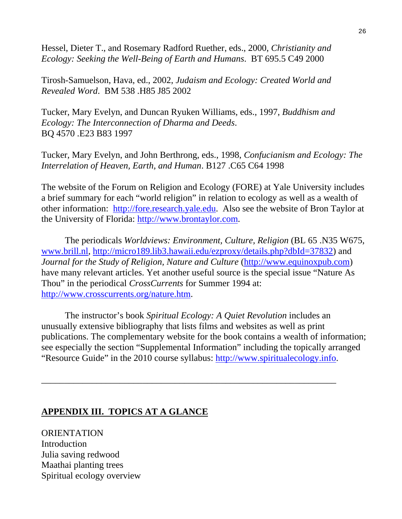Hessel, Dieter T., and Rosemary Radford Ruether, eds., 2000, *Christianity and Ecology: Seeking the Well-Being of Earth and Humans*. BT 695.5 C49 2000

Tirosh-Samuelson, Hava, ed., 2002, *Judaism and Ecology: Created World and Revealed Word*. BM 538 .H85 J85 2002

Tucker, Mary Evelyn, and Duncan Ryuken Williams, eds., 1997, *Buddhism and Ecology: The Interconnection of Dharma and Deeds*. BQ 4570 .E23 B83 1997

Tucker, Mary Evelyn, and John Berthrong, eds., 1998, *Confucianism and Ecology: The Interrelation of Heaven, Earth, and Human*. B127 .C65 C64 1998

The website of the Forum on Religion and Ecology (FORE) at Yale University includes a brief summary for each "world religion" in relation to ecology as well as a wealth of other information: http://fore.research.yale.edu. Also see the website of Bron Taylor at the University of Florida: http://www.brontaylor.com.

 The periodicals *Worldviews: Environment, Culture, Religion* (BL 65 .N35 W675, www.brill.nl, http://micro189.lib3.hawaii.edu/ezproxy/details.php?dbId=37832) and *Journal for the Study of Religion, Nature and Culture* (http://www.equinoxpub.com) have many relevant articles. Yet another useful source is the special issue "Nature As Thou" in the periodical *CrossCurrents* for Summer 1994 at: http://www.crosscurrents.org/nature.htm.

 The instructor's book *Spiritual Ecology: A Quiet Revolution* includes an unusually extensive bibliography that lists films and websites as well as print publications. The complementary website for the book contains a wealth of information; see especially the section "Supplemental Information" including the topically arranged "Resource Guide" in the 2010 course syllabus: http://www.spiritualecology.info.

\_\_\_\_\_\_\_\_\_\_\_\_\_\_\_\_\_\_\_\_\_\_\_\_\_\_\_\_\_\_\_\_\_\_\_\_\_\_\_\_\_\_\_\_\_\_\_\_\_\_\_\_\_\_\_\_\_\_\_\_\_\_\_\_

## **APPENDIX III. TOPICS AT A GLANCE**

**ORIENTATION** Introduction Julia saving redwood Maathai planting trees Spiritual ecology overview